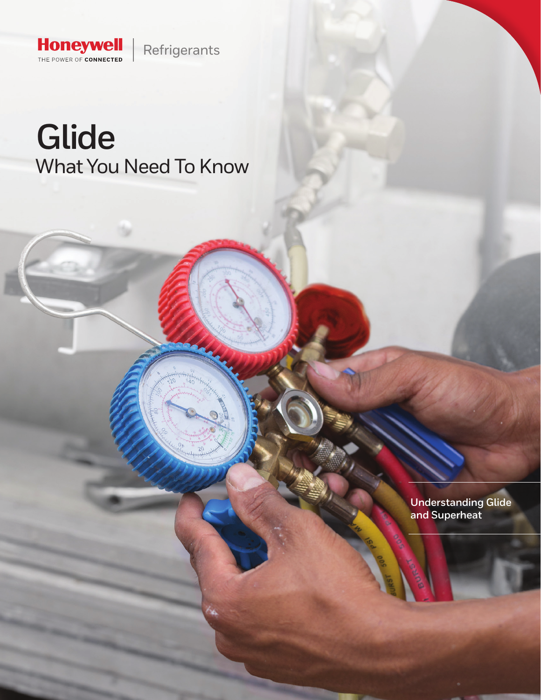

# **Glide**  What You Need To Know

**Understanding Glide and Superheat**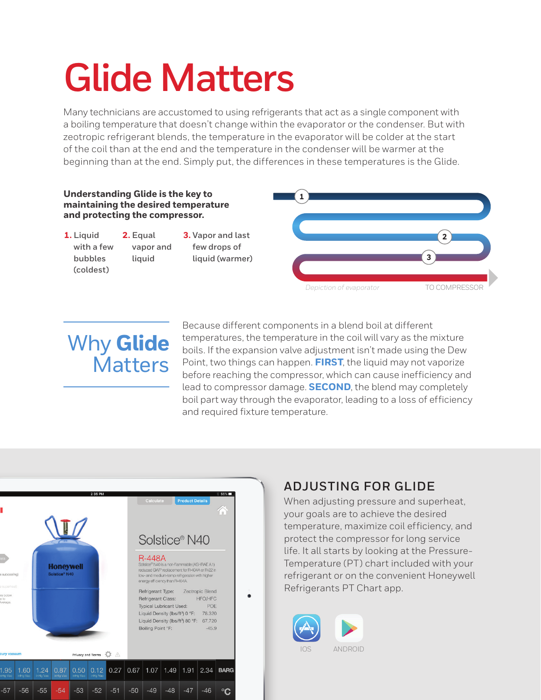# **Glide Matters**

Many technicians are accustomed to using refrigerants that act as a single component with a boiling temperature that doesn't change within the evaporator or the condenser. But with zeotropic refrigerant blends, the temperature in the evaporator will be colder at the start of the coil than at the end and the temperature in the condenser will be warmer at the beginning than at the end. Simply put, the differences in these temperatures is the Glide.



# Why **Glide Matters**

Because different components in a blend boil at different temperatures, the temperature in the coil will vary as the mixture boils. If the expansion valve adjustment isn't made using the Dew Point, two things can happen. **FIRST**, the liquid may not vaporize before reaching the compressor, which can cause inefficiency and lead to compressor damage. **SECOND**, the blend may completely boil part way through the evaporator, leading to a loss of efficiency and required fixture temperature.



## **ADJUSTING FOR GLIDE**

When adjusting pressure and superheat, your goals are to achieve the desired temperature, maximize coil efficiency, and protect the compressor for long service life. It all starts by looking at the Pressure-Temperature (PT) chart included with your refrigerant or on the convenient Honeywell Refrigerants PT Chart app.

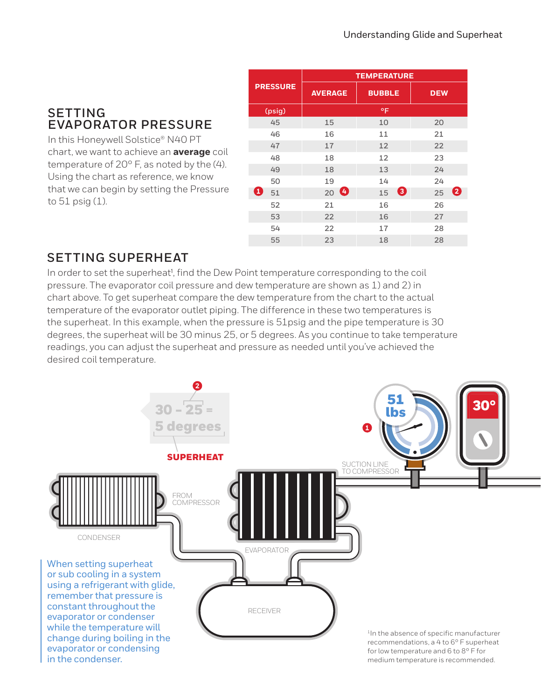### **SETTING EVAPORATOR PRESSURE**

In this Honeywell Solstice® N40 PT chart, we want to achieve an **average** coil temperature of 20° F, as noted by the (4). Using the chart as reference, we know that we can begin by setting the Pressure to  $51$  psig  $(1)$ .

| <b>PRESSURE</b> | <b>TEMPERATURE</b> |               |            |
|-----------------|--------------------|---------------|------------|
|                 | <b>AVERAGE</b>     | <b>BUBBLE</b> | <b>DEW</b> |
| (psig)          | °F                 |               |            |
| 45              | 15                 | 10            | 20         |
| 46              | 16                 | 11            | 21         |
| 47              | 17                 | 12            | 22         |
| 48              | 18                 | 12            | 23         |
| 49              | 18                 | 13            | 24         |
| 50              | 19                 | 14            | 24         |
| Ø<br>51         | $20$ $\bullet$     | ❸<br>15       | 0<br>25    |
| 52              | 21                 | 16            | 26         |
| 53              | 22                 | 16            | 27         |
| 54              | 22                 | 17            | 28         |
| 55              | 23                 | 18            | 28         |

## **SETTING SUPERHEAT**

In order to set the superheat<sup>1</sup>, find the Dew Point temperature corresponding to the coil pressure. The evaporator coil pressure and dew temperature are shown as 1) and 2) in chart above. To get superheat compare the dew temperature from the chart to the actual temperature of the evaporator outlet piping. The difference in these two temperatures is the superheat. In this example, when the pressure is 51psig and the pipe temperature is 30 degrees, the superheat will be 30 minus 25, or 5 degrees. As you continue to take temperature readings, you can adjust the superheat and pressure as needed until you've achieved the desired coil temperature.